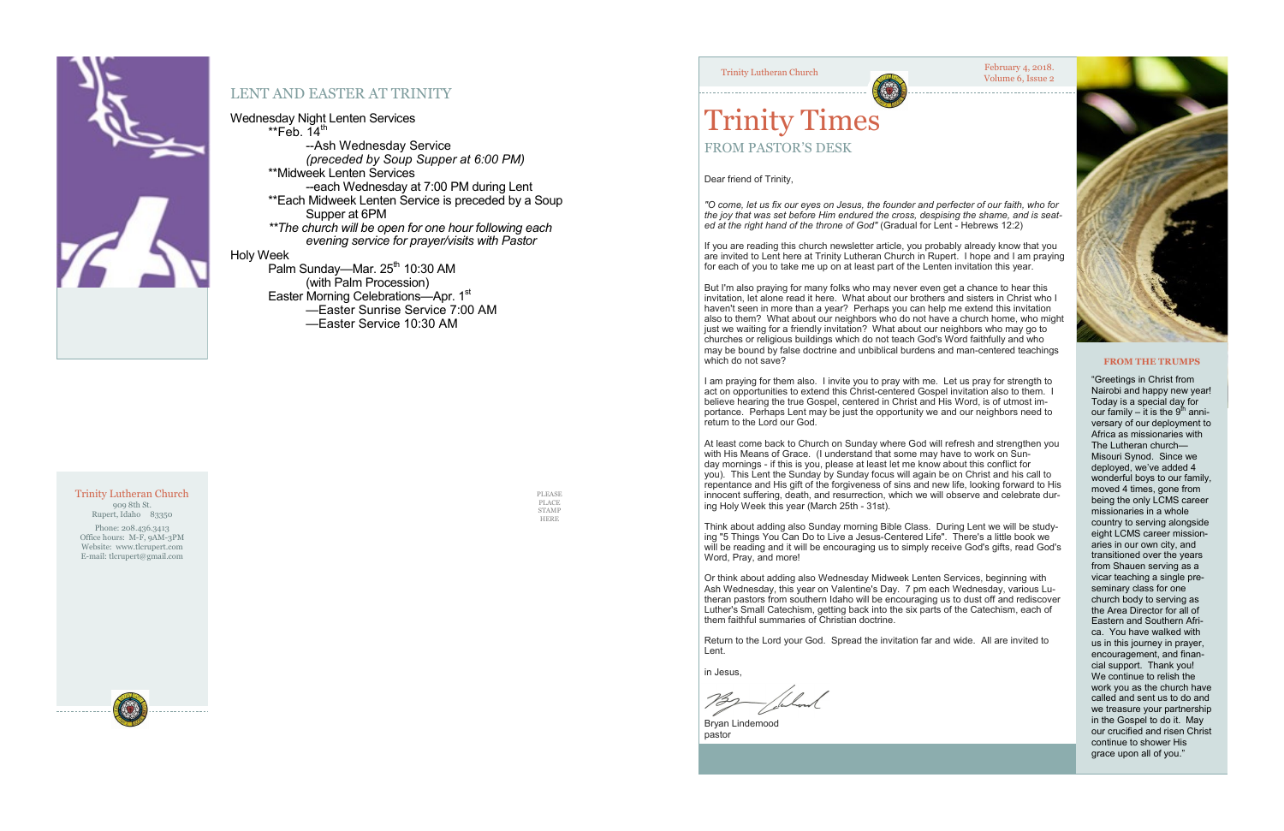

### LENT AND EASTER AT TRINITY

### Wednesday Night Lenten Services

 $*$ Feb. 14<sup>th</sup> --Ash Wednesday Service *(preceded by Soup Supper at 6:00 PM)* \*\*Midweek Lenten Services --each Wednesday at 7:00 PM during Lent \*\*Each Midweek Lenten Service is preceded by a Soup Supper at 6PM  *\*\*The church will be open for one hour following each evening service for prayer/visits with Pastor* Holy Week Palm Sunday—Mar. 25<sup>th</sup> 10:30 AM

#### February 4, 2018. Trinity Lutheran Church<br>
Volume 6, Issue 2



(with Palm Procession) Easter Morning Celebrations—Apr. 1<sup>st</sup> —Easter Sunrise Service 7:00 AM —Easter Service 10:30 AM

> PLEASE PLACE STAMP HERE

#### Trinity Lutheran Church 909 8th St.

Rupert, Idaho 83350

Phone: 208.436.3413 Office hours: M-F, 9AM-3PM Website: www.tlcrupert.com E-mail: tlcrupert@gmail.com

But I'm also praying for many folks who may never even get a chance to hear this invitation, let alone read it here. What about our brothers and sisters in Christ who I haven't seen in more than a year? Perhaps you can help me extend this invitation also to them? What about our neighbors who do not have a church home, who might just we waiting for a friendly invitation? What about our neighbors who may go to churches or religious buildings which do not teach God's Word faithfully and who may be bound by false doctrine and unbiblical burdens and man-centered teachings which do not save?



# Trinity Times FROM PASTOR'S DESK

Dear friend of Trinity,

*"O come, let us fix our eyes on Jesus, the founder and perfecter of our faith, who for the joy that was set before Him endured the cross, despising the shame, and is seated at the right hand of the throne of God"* (Gradual for Lent - Hebrews 12:2)

If you are reading this church newsletter article, you probably already know that you are invited to Lent here at Trinity Lutheran Church in Rupert. I hope and I am praying for each of you to take me up on at least part of the Lenten invitation this year.

I am praying for them also. I invite you to pray with me. Let us pray for strength to act on opportunities to extend this Christ-centered Gospel invitation also to them. I believe hearing the true Gospel, centered in Christ and His Word, is of utmost importance. Perhaps Lent may be just the opportunity we and our neighbors need to return to the Lord our God.

At least come back to Church on Sunday where God will refresh and strengthen you with His Means of Grace. (I understand that some may have to work on Sunday mornings - if this is you, please at least let me know about this conflict for you). This Lent the Sunday by Sunday focus will again be on Christ and his call to repentance and His gift of the forgiveness of sins and new life, looking forward to His innocent suffering, death, and resurrection, which we will observe and celebrate during Holy Week this year (March 25th - 31st).

Think about adding also Sunday morning Bible Class. During Lent we will be studying "5 Things You Can Do to Live a Jesus-Centered Life". There's a little book we will be reading and it will be encouraging us to simply receive God's gifts, read God's Word, Pray, and more!

Or think about adding also Wednesday Midweek Lenten Services, beginning with Ash Wednesday, this year on Valentine's Day. 7 pm each Wednesday, various Lutheran pastors from southern Idaho will be encouraging us to dust off and rediscover Luther's Small Catechism, getting back into the six parts of the Catechism, each of them faithful summaries of Christian doctrine.

Return to the Lord your God. Spread the invitation far and wide. All are invited to Lent.

in Jesus,

Bryan Lindemood pastor

#### **FROM THE TRUMPS**

"Greetings in Christ from Nairobi and happy new year! Today is a special day for our family – it is the 9<sup>th</sup> anniversary of our deployment to Africa as missionaries with The Lutheran church— Misouri Synod. Since we deployed, we've added 4 wonderful boys to our family, moved 4 times, gone from being the only LCMS career missionaries in a whole country to serving alongside eight LCMS career missionaries in our own city, and transitioned over the years from Shauen serving as a vicar teaching a single preseminary class for one church body to serving as the Area Director for all of Eastern and Southern Africa. You have walked with us in this journey in prayer, encouragement, and financial support. Thank you! We continue to relish the work you as the church have called and sent us to do and we treasure your partnership in the Gospel to do it. May our crucified and risen Christ continue to shower His grace upon all of you."